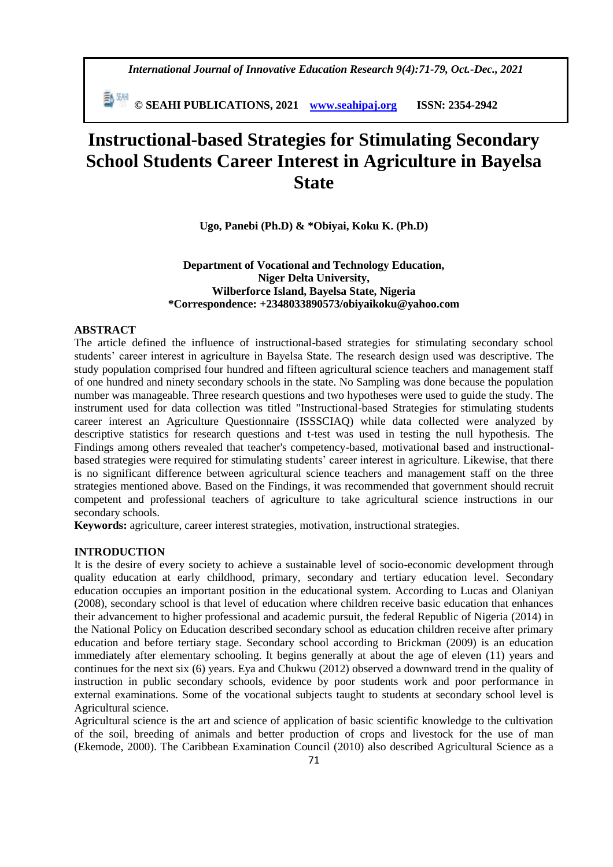*International Journal of Innovative Education Research 9(4):71-79, Oct.-Dec., 2021*

 **© SEAHI PUBLICATIONS, 2021 [www.seahipaj.org](http://www.seahipaj.org/) ISSN: 2354-2942**

# **Instructional-based Strategies for Stimulating Secondary School Students Career Interest in Agriculture in Bayelsa State**

**Ugo, Panebi (Ph.D) & \*Obiyai, Koku K. (Ph.D)**

## **Department of Vocational and Technology Education, Niger Delta University, Wilberforce Island, Bayelsa State, Nigeria \*Correspondence: +2348033890573/obiyaikoku@yahoo.com**

#### **ABSTRACT**

The article defined the influence of instructional-based strategies for stimulating secondary school students' career interest in agriculture in Bayelsa State. The research design used was descriptive. The study population comprised four hundred and fifteen agricultural science teachers and management staff of one hundred and ninety secondary schools in the state. No Sampling was done because the population number was manageable. Three research questions and two hypotheses were used to guide the study. The instrument used for data collection was titled "Instructional-based Strategies for stimulating students career interest an Agriculture Questionnaire (ISSSCIAQ) while data collected were analyzed by descriptive statistics for research questions and t-test was used in testing the null hypothesis. The Findings among others revealed that teacher's competency-based, motivational based and instructionalbased strategies were required for stimulating students' career interest in agriculture. Likewise, that there is no significant difference between agricultural science teachers and management staff on the three strategies mentioned above. Based on the Findings, it was recommended that government should recruit competent and professional teachers of agriculture to take agricultural science instructions in our secondary schools.

**Keywords:** agriculture, career interest strategies, motivation, instructional strategies.

## **INTRODUCTION**

It is the desire of every society to achieve a sustainable level of socio-economic development through quality education at early childhood, primary, secondary and tertiary education level. Secondary education occupies an important position in the educational system. According to Lucas and Olaniyan (2008), secondary school is that level of education where children receive basic education that enhances their advancement to higher professional and academic pursuit, the federal Republic of Nigeria (2014) in the National Policy on Education described secondary school as education children receive after primary education and before tertiary stage. Secondary school according to Brickman (2009) is an education immediately after elementary schooling. It begins generally at about the age of eleven (11) years and continues for the next six (6) years. Eya and Chukwu (2012) observed a downward trend in the quality of instruction in public secondary schools, evidence by poor students work and poor performance in external examinations. Some of the vocational subjects taught to students at secondary school level is Agricultural science.

Agricultural science is the art and science of application of basic scientific knowledge to the cultivation of the soil, breeding of animals and better production of crops and livestock for the use of man (Ekemode, 2000). The Caribbean Examination Council (2010) also described Agricultural Science as a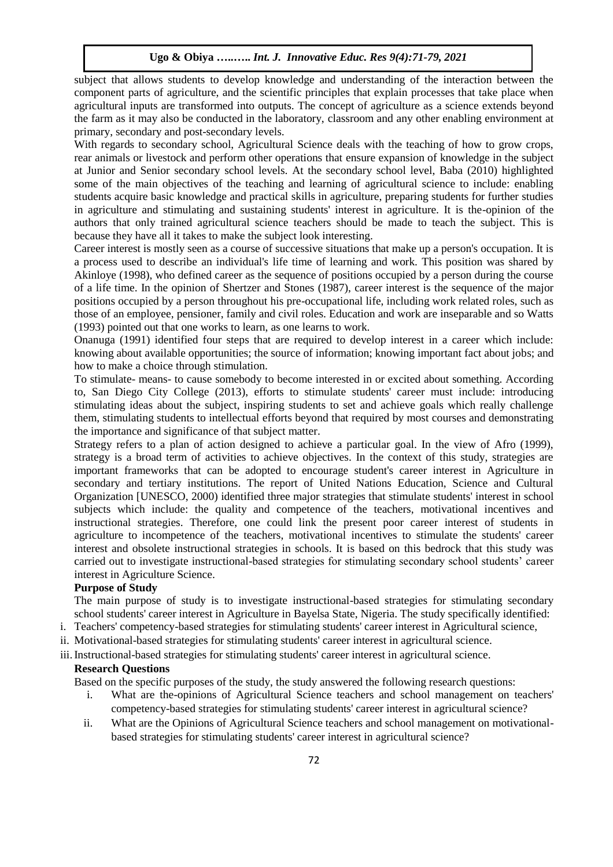subject that allows students to develop knowledge and understanding of the interaction between the component parts of agriculture, and the scientific principles that explain processes that take place when agricultural inputs are transformed into outputs. The concept of agriculture as a science extends beyond the farm as it may also be conducted in the laboratory, classroom and any other enabling environment at primary, secondary and post-secondary levels.

With regards to secondary school, Agricultural Science deals with the teaching of how to grow crops, rear animals or livestock and perform other operations that ensure expansion of knowledge in the subject at Junior and Senior secondary school levels. At the secondary school level, Baba (2010) highlighted some of the main objectives of the teaching and learning of agricultural science to include: enabling students acquire basic knowledge and practical skills in agriculture, preparing students for further studies in agriculture and stimulating and sustaining students' interest in agriculture. It is the-opinion of the authors that only trained agricultural science teachers should be made to teach the subject. This is because they have all it takes to make the subject look interesting.

Career interest is mostly seen as a course of successive situations that make up a person's occupation. It is a process used to describe an individual's life time of learning and work. This position was shared by Akinloye (1998), who defined career as the sequence of positions occupied by a person during the course of a life time. In the opinion of Shertzer and Stones (1987), career interest is the sequence of the major positions occupied by a person throughout his pre-occupational life, including work related roles, such as those of an employee, pensioner, family and civil roles. Education and work are inseparable and so Watts (1993) pointed out that one works to learn, as one learns to work.

Onanuga (1991) identified four steps that are required to develop interest in a career which include: knowing about available opportunities; the source of information; knowing important fact about jobs; and how to make a choice through stimulation.

To stimulate- means- to cause somebody to become interested in or excited about something. According to, San Diego City College (2013), efforts to stimulate students' career must include: introducing stimulating ideas about the subject, inspiring students to set and achieve goals which really challenge them, stimulating students to intellectual efforts beyond that required by most courses and demonstrating the importance and significance of that subject matter.

Strategy refers to a plan of action designed to achieve a particular goal. In the view of Afro (1999), strategy is a broad term of activities to achieve objectives. In the context of this study, strategies are important frameworks that can be adopted to encourage student's career interest in Agriculture in secondary and tertiary institutions. The report of United Nations Education, Science and Cultural Organization [UNESCO, 2000) identified three major strategies that stimulate students' interest in school subjects which include: the quality and competence of the teachers, motivational incentives and instructional strategies. Therefore, one could link the present poor career interest of students in agriculture to incompetence of the teachers, motivational incentives to stimulate the students' career interest and obsolete instructional strategies in schools. It is based on this bedrock that this study was carried out to investigate instructional-based strategies for stimulating secondary school students' career interest in Agriculture Science.

### **Purpose of Study**

The main purpose of study is to investigate instructional-based strategies for stimulating secondary school students' career interest in Agriculture in Bayelsa State, Nigeria. The study specifically identified:

- i. Teachers' competency-based strategies for stimulating students' career interest in Agricultural science,
- ii. Motivational-based strategies for stimulating students' career interest in agricultural science.
- iii.Instructional-based strategies for stimulating students' career interest in agricultural science.

#### **Research Questions**

Based on the specific purposes of the study, the study answered the following research questions:

- i. What are the-opinions of Agricultural Science teachers and school management on teachers' competency-based strategies for stimulating students' career interest in agricultural science?
- ii. What are the Opinions of Agricultural Science teachers and school management on motivationalbased strategies for stimulating students' career interest in agricultural science?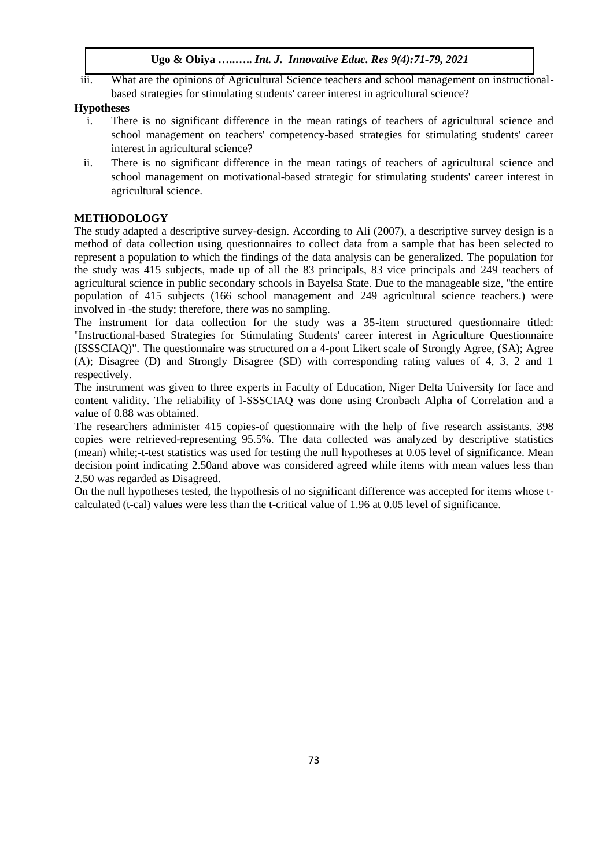iii. What are the opinions of Agricultural Science teachers and school management on instructionalbased strategies for stimulating students' career interest in agricultural science?

## **Hypotheses**

- i. There is no significant difference in the mean ratings of teachers of agricultural science and school management on teachers' competency-based strategies for stimulating students' career interest in agricultural science?
- ii. There is no significant difference in the mean ratings of teachers of agricultural science and school management on motivational-based strategic for stimulating students' career interest in agricultural science.

## **METHODOLOGY**

The study adapted a descriptive survey-design. According to Ali (2007), a descriptive survey design is a method of data collection using questionnaires to collect data from a sample that has been selected to represent a population to which the findings of the data analysis can be generalized. The population for the study was 415 subjects, made up of all the 83 principals, 83 vice principals and 249 teachers of agricultural science in public secondary schools in Bayelsa State. Due to the manageable size, ''the entire population of 415 subjects (166 school management and 249 agricultural science teachers.) were involved in -the study; therefore, there was no sampling.

The instrument for data collection for the study was a 35-item structured questionnaire titled: ''Instructional-based Strategies for Stimulating Students' career interest in Agriculture Questionnaire (ISSSCIAQ)". The questionnaire was structured on a 4-pont Likert scale of Strongly Agree, (SA); Agree (A); Disagree (D) and Strongly Disagree (SD) with corresponding rating values of 4, 3, 2 and 1 respectively.

The instrument was given to three experts in Faculty of Education, Niger Delta University for face and content validity. The reliability of l-SSSCIAQ was done using Cronbach Alpha of Correlation and a value of 0.88 was obtained.

The researchers administer 415 copies-of questionnaire with the help of five research assistants. 398 copies were retrieved-representing 95.5%. The data collected was analyzed by descriptive statistics (mean) while;-t-test statistics was used for testing the null hypotheses at 0.05 level of significance. Mean decision point indicating 2.50and above was considered agreed while items with mean values less than 2.50 was regarded as Disagreed.

On the null hypotheses tested, the hypothesis of no significant difference was accepted for items whose tcalculated (t-cal) values were less than the t-critical value of 1.96 at 0.05 level of significance.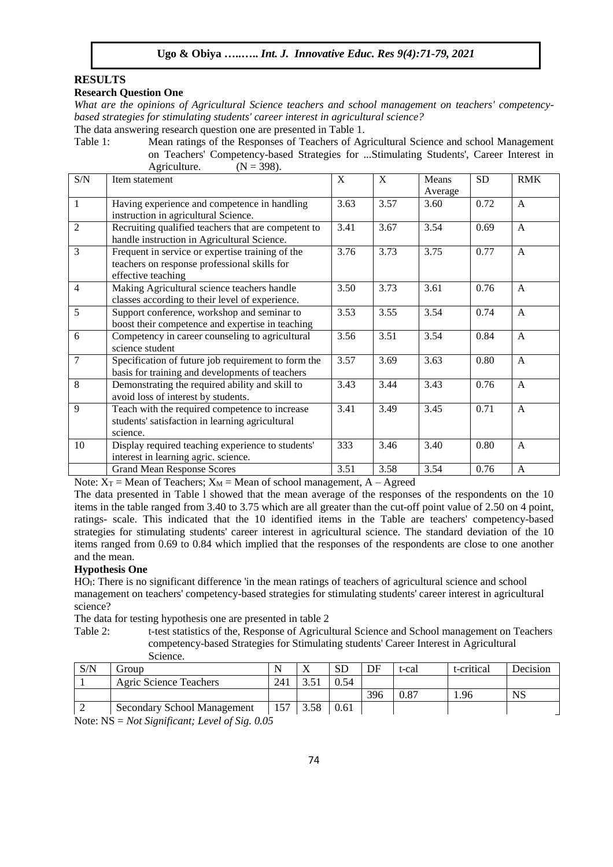### **RESULTS**

#### **Research Question One**

*What are the opinions of Agricultural Science teachers and school management on teachers' competencybased strategies for stimulating students' career interest in agricultural science?* 

The data answering research question one are presented in Table 1.

Table 1: Mean ratings of the Responses of Teachers of Agricultural Science and school Management on Teachers' Competency-based Strategies for ...Stimulating Students', Career Interest in Agriculture.  $(N = 398)$ .

| S/N            | Item statement                                      | X    | X    | Means   | <b>SD</b> | <b>RMK</b>   |
|----------------|-----------------------------------------------------|------|------|---------|-----------|--------------|
|                |                                                     |      |      | Average |           |              |
| 1              | Having experience and competence in handling        | 3.63 | 3.57 | 3.60    | 0.72      | $\mathbf{A}$ |
|                | instruction in agricultural Science.                |      |      |         |           |              |
| $\overline{c}$ | Recruiting qualified teachers that are competent to | 3.41 | 3.67 | 3.54    | 0.69      | $\mathsf{A}$ |
|                | handle instruction in Agricultural Science.         |      |      |         |           |              |
| 3              | Frequent in service or expertise training of the    | 3.76 | 3.73 | 3.75    | 0.77      | $\mathsf{A}$ |
|                | teachers on response professional skills for        |      |      |         |           |              |
|                | effective teaching                                  |      |      |         |           |              |
| 4              | Making Agricultural science teachers handle         | 3.50 | 3.73 | 3.61    | 0.76      | A            |
|                | classes according to their level of experience.     |      |      |         |           |              |
| 5              | Support conference, workshop and seminar to         | 3.53 | 3.55 | 3.54    | 0.74      | $\mathsf{A}$ |
|                | boost their competence and expertise in teaching    |      |      |         |           |              |
| 6              | Competency in career counseling to agricultural     | 3.56 | 3.51 | 3.54    | 0.84      | $\mathsf{A}$ |
|                | science student                                     |      |      |         |           |              |
| 7              | Specification of future job requirement to form the | 3.57 | 3.69 | 3.63    | 0.80      | $\mathsf{A}$ |
|                | basis for training and developments of teachers     |      |      |         |           |              |
| 8              | Demonstrating the required ability and skill to     | 3.43 | 3.44 | 3.43    | 0.76      | $\mathsf{A}$ |
|                | avoid loss of interest by students.                 |      |      |         |           |              |
| 9              | Teach with the required competence to increase      | 3.41 | 3.49 | 3.45    | 0.71      | $\mathsf{A}$ |
|                | students' satisfaction in learning agricultural     |      |      |         |           |              |
|                | science.                                            |      |      |         |           |              |
| 10             | Display required teaching experience to students'   | 333  | 3.46 | 3.40    | 0.80      | $\mathbf{A}$ |
|                | interest in learning agric. science.                |      |      |         |           |              |
|                | <b>Grand Mean Response Scores</b>                   | 3.51 | 3.58 | 3.54    | 0.76      | $\mathbf{A}$ |

Note:  $X_T$  = Mean of Teachers;  $X_M$  = Mean of school management, A – Agreed

The data presented in Table l showed that the mean average of the responses of the respondents on the 10 items in the table ranged from 3.40 to 3.75 which are all greater than the cut-off point value of 2.50 on 4 point, ratings- scale. This indicated that the 10 identified items in the Table are teachers' competency-based strategies for stimulating students' career interest in agricultural science. The standard deviation of the 10 items ranged from 0.69 to 0.84 which implied that the responses of the respondents are close to one another and the mean.

#### **Hypothesis One**

HO<sub>I</sub>: There is no significant difference 'in the mean ratings of teachers of agricultural science and school management on teachers' competency-based strategies for stimulating students' career interest in agricultural science?

The data for testing hypothesis one are presented in table 2

Table 2: t-test statistics of the, Response of Agricultural Science and School management on Teachers competency-based Strategies for Stimulating students' Career Interest in Agricultural Science.

| S/N | droup                       |     |      | SD   | DF  | t-cal     | t-critical | Decision  |
|-----|-----------------------------|-----|------|------|-----|-----------|------------|-----------|
|     | Agric Science Teachers      | 241 |      | 0.54 |     |           |            |           |
|     |                             |     |      |      | 396 | $_{0.87}$ | .96        | <b>NS</b> |
|     | Secondary School Management | 157 | 3.58 | 0.61 |     |           |            |           |

Note: NS = *Not Significant; Level of Sig. 0.05*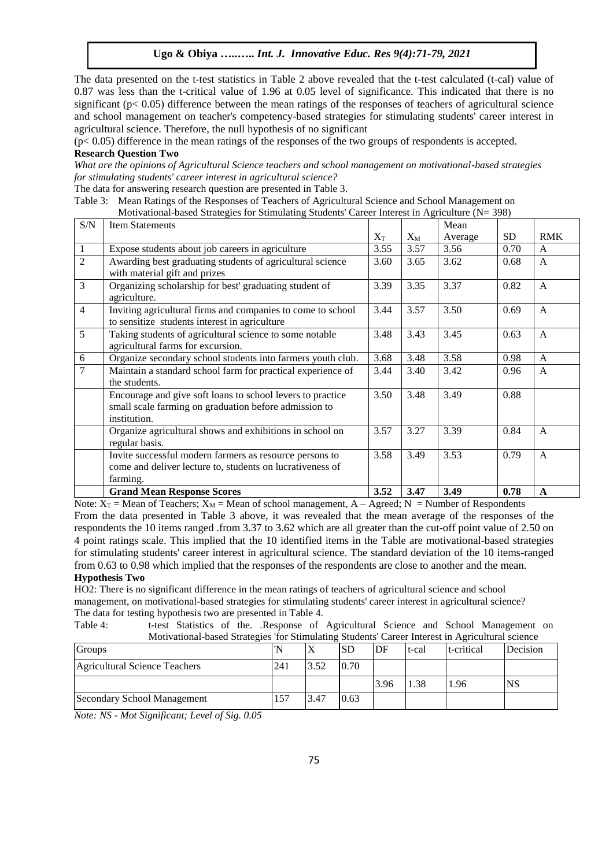The data presented on the t-test statistics in Table 2 above revealed that the t-test calculated (t-cal) value of 0.87 was less than the t-critical value of 1.96 at 0.05 level of significance. This indicated that there is no significant ( $p < 0.05$ ) difference between the mean ratings of the responses of teachers of agricultural science and school management on teacher's competency-based strategies for stimulating students' career interest in agricultural science. Therefore, the null hypothesis of no significant

 $(p< 0.05)$  difference in the mean ratings of the responses of the two groups of respondents is accepted. **Research Question Two**

*What are the opinions of Agricultural Science teachers and school management on motivational-based strategies for stimulating students' career interest in agricultural science?*

The data for answering research question are presented in Table 3.

Table 3: Mean Ratings of the Responses of Teachers of Agricultural Science and School Management on Motivational-based Strategies for Stimulating Students' Career Interest in Agriculture (N= 398)

| S/N            | <b>Item Statements</b>                                                                                                              |           |       | Mean    |           |              |
|----------------|-------------------------------------------------------------------------------------------------------------------------------------|-----------|-------|---------|-----------|--------------|
|                |                                                                                                                                     | $\rm X_T$ | $X_M$ | Average | <b>SD</b> | <b>RMK</b>   |
| $\mathbf{1}$   | Expose students about job careers in agriculture                                                                                    | 3.55      | 3.57  | 3.56    | 0.70      | $\mathsf{A}$ |
| $\overline{2}$ | Awarding best graduating students of agricultural science<br>with material gift and prizes                                          | 3.60      | 3.65  | 3.62    | 0.68      | $\mathsf{A}$ |
| 3              | Organizing scholarship for best' graduating student of<br>agriculture.                                                              | 3.39      | 3.35  | 3.37    | 0.82      | $\mathsf{A}$ |
| $\overline{4}$ | Inviting agricultural firms and companies to come to school<br>to sensitize students interest in agriculture                        | 3.44      | 3.57  | 3.50    | 0.69      | $\mathsf{A}$ |
| 5              | Taking students of agricultural science to some notable<br>agricultural farms for excursion.                                        | 3.48      | 3.43  | 3.45    | 0.63      | $\mathsf{A}$ |
| 6              | Organize secondary school students into farmers youth club.                                                                         | 3.68      | 3.48  | 3.58    | 0.98      | $\mathsf{A}$ |
| 7              | Maintain a standard school farm for practical experience of<br>the students.                                                        | 3.44      | 3.40  | 3.42    | 0.96      | $\mathsf{A}$ |
|                | Encourage and give soft loans to school levers to practice<br>small scale farming on graduation before admission to<br>institution. | 3.50      | 3.48  | 3.49    | 0.88      |              |
|                | Organize agricultural shows and exhibitions in school on<br>regular basis.                                                          | 3.57      | 3.27  | 3.39    | 0.84      | $\mathsf{A}$ |
|                | Invite successful modern farmers as resource persons to<br>come and deliver lecture to, students on lucrativeness of<br>farming.    | 3.58      | 3.49  | 3.53    | 0.79      | $\mathsf{A}$ |
|                | <b>Grand Mean Response Scores</b>                                                                                                   | 3.52      | 3.47  | 3.49    | 0.78      | $\mathbf{A}$ |

Note:  $X_T$  = Mean of Teachers;  $X_M$  = Mean of school management, A – Agreed; N = Number of Respondents From the data presented in Table 3 above, it was revealed that the mean average of the responses of the respondents the 10 items ranged .from 3.37 to 3.62 which are all greater than the cut-off point value of 2.50 on 4 point ratings scale. This implied that the 10 identified items in the Table are motivational-based strategies for stimulating students' career interest in agricultural science. The standard deviation of the 10 items-ranged from 0.63 to 0.98 which implied that the responses of the respondents are close to another and the mean. **Hypothesis Two**

HO2: There is no significant difference in the mean ratings of teachers of agricultural science and school management, on motivational-based strategies for stimulating students' career interest in agricultural science? The data for testing hypothesis two are presented in Table 4.

Table 4: t-test Statistics of the. .Response of Agricultural Science and School Management on Motivational-based Strategies 'for Stimulating Students' Career Interest in Agricultural science

| $1.10011$ with $0.10011$ $0.00000$ $0.01000$ $0.0000$ $0.011$ $0.0011$ $0.00000$ |     |      |           |      |       |            |           |  |  |
|----------------------------------------------------------------------------------|-----|------|-----------|------|-------|------------|-----------|--|--|
| Groups                                                                           |     |      | <b>SD</b> | DF   | t-cal | t-critical | Decision  |  |  |
| Agricultural Science Teachers                                                    | 241 | 3.52 | 0.70      |      |       |            |           |  |  |
|                                                                                  |     |      |           | 3.96 | 1.38  | 1.96       | <b>NS</b> |  |  |
| Secondary School Management                                                      | 157 | 3.47 | 0.63      |      |       |            |           |  |  |

*Note: NS - Mot Significant; Level of Sig. 0.05*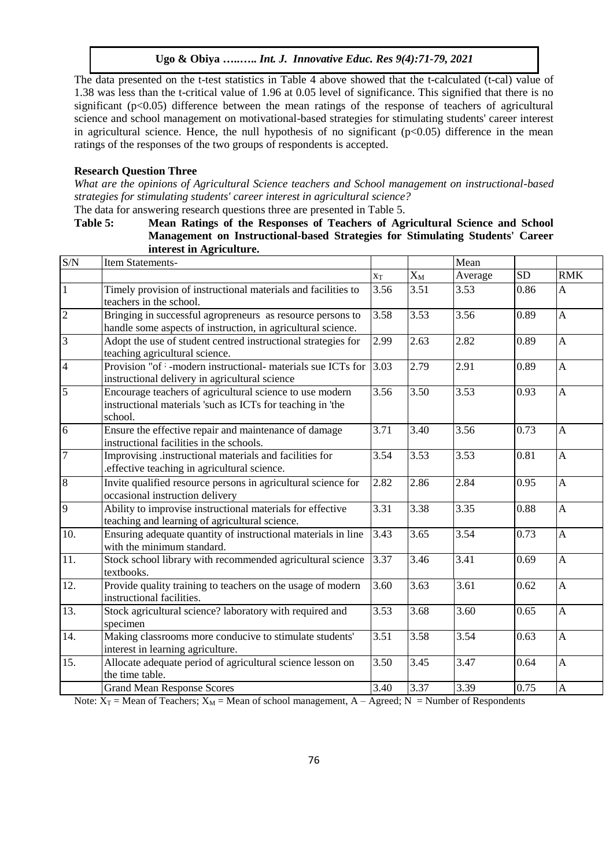The data presented on the t-test statistics in Table 4 above showed that the t-calculated (t-cal) value of 1.38 was less than the t-critical value of 1.96 at 0.05 level of significance. This signified that there is no significant (p<0.05) difference between the mean ratings of the response of teachers of agricultural science and school management on motivational-based strategies for stimulating students' career interest in agricultural science. Hence, the null hypothesis of no significant  $(p<0.05)$  difference in the mean ratings of the responses of the two groups of respondents is accepted.

#### **Research Question Three**

*What are the opinions of Agricultural Science teachers and School management on instructional-based strategies for stimulating students' career interest in agricultural science?*

The data for answering research questions three are presented in Table 5.

## **Table 5: Mean Ratings of the Responses of Teachers of Agricultural Science and School Management on Instructional-based Strategies for Stimulating Students' Career interest in Agriculture.**

| $\ensuremath{\mathrm{S/N}}$ | Item Statements-                                                                                                                  |       |       | Mean              |           |                |
|-----------------------------|-----------------------------------------------------------------------------------------------------------------------------------|-------|-------|-------------------|-----------|----------------|
|                             |                                                                                                                                   | $X_T$ | $X_M$ | Average           | <b>SD</b> | <b>RMK</b>     |
| $\vert$ 1                   | Timely provision of instructional materials and facilities to<br>teachers in the school.                                          | 3.56  | 3.51  | 3.53              | 0.86      | $\mathbf{A}$   |
| $\overline{2}$              | Bringing in successful agropreneurs as resource persons to<br>handle some aspects of instruction, in agricultural science.        | 3.58  | 3.53  | 3.56              | 0.89      | $\overline{A}$ |
| $\overline{3}$              | Adopt the use of student centred instructional strategies for<br>teaching agricultural science.                                   | 2.99  | 2.63  | 2.82              | 0.89      | $\mathbf{A}$   |
| $\overline{4}$              | Provision "of <sup>;</sup> -modern instructional- materials sue ICTs for<br>instructional delivery in agricultural science        | 3.03  | 2.79  | 2.91              | 0.89      | $\mathbf{A}$   |
| $\overline{5}$              | Encourage teachers of agricultural science to use modern<br>instructional materials 'such as ICTs for teaching in 'the<br>school. | 3.56  | 3.50  | $\overline{3.53}$ | 0.93      | $\mathbf{A}$   |
| 6                           | Ensure the effective repair and maintenance of damage<br>instructional facilities in the schools.                                 | 3.71  | 3.40  | 3.56              | 0.73      | $\mathbf{A}$   |
| $\overline{7}$              | Improvising .instructional materials and facilities for<br>.effective teaching in agricultural science.                           | 3.54  | 3.53  | 3.53              | 0.81      | $\mathbf{A}$   |
| $\boldsymbol{8}$            | Invite qualified resource persons in agricultural science for<br>occasional instruction delivery                                  | 2.82  | 2.86  | 2.84              | 0.95      | $\mathbf{A}$   |
| 9                           | Ability to improvise instructional materials for effective<br>teaching and learning of agricultural science.                      | 3.31  | 3.38  | 3.35              | 0.88      | $\overline{A}$ |
| 10.                         | Ensuring adequate quantity of instructional materials in line<br>with the minimum standard.                                       | 3.43  | 3.65  | 3.54              | 0.73      | $\overline{A}$ |
| 11.                         | Stock school library with recommended agricultural science<br>textbooks.                                                          | 3.37  | 3.46  | 3.41              | 0.69      | $\overline{A}$ |
| 12.                         | Provide quality training to teachers on the usage of modern<br>instructional facilities.                                          | 3.60  | 3.63  | 3.61              | 0.62      | $\mathbf{A}$   |
| 13.                         | Stock agricultural science? laboratory with required and<br>specimen                                                              | 3.53  | 3.68  | 3.60              | 0.65      | $\mathbf{A}$   |
| 14.                         | Making classrooms more conducive to stimulate students'<br>interest in learning agriculture.                                      | 3.51  | 3.58  | 3.54              | 0.63      | $\mathbf{A}$   |
| 15.                         | Allocate adequate period of agricultural science lesson on<br>the time table.                                                     | 3.50  | 3.45  | 3.47              | 0.64      | $\mathbf{A}$   |
|                             | <b>Grand Mean Response Scores</b>                                                                                                 | 3.40  | 3.37  | 3.39              | 0.75      | $\mathbf{A}$   |

Note:  $X_T$  = Mean of Teachers;  $X_M$  = Mean of school management, A – Agreed; N = Number of Respondents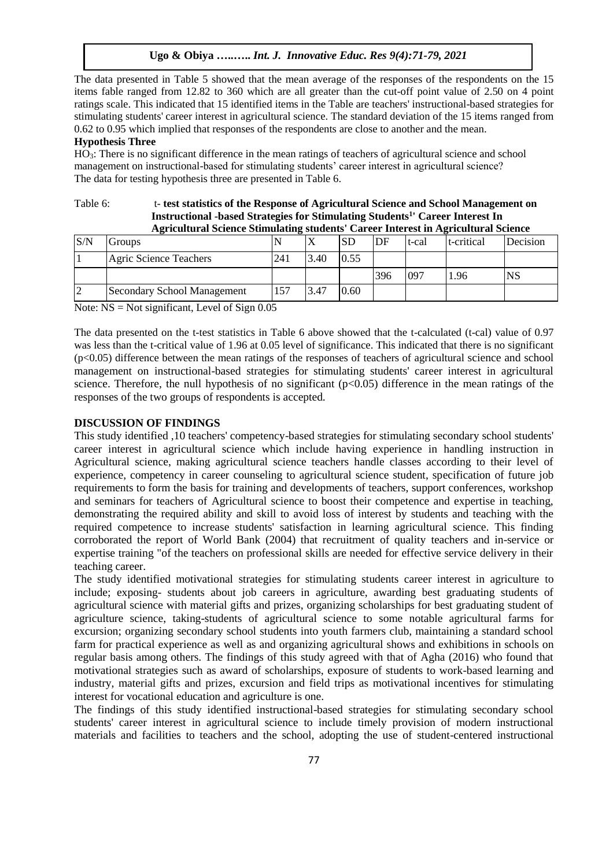The data presented in Table 5 showed that the mean average of the responses of the respondents on the 15 items fable ranged from 12.82 to 360 which are all greater than the cut-off point value of 2.50 on 4 point ratings scale. This indicated that 15 identified items in the Table are teachers' instructional-based strategies for stimulating students' career interest in agricultural science. The standard deviation of the 15 items ranged from 0.62 to 0.95 which implied that responses of the respondents are close to another and the mean.

## **Hypothesis Three**

HO3: There is no significant difference in the mean ratings of teachers of agricultural science and school management on instructional-based for stimulating students' career interest in agricultural science? The data for testing hypothesis three are presented in Table 6.

#### Table 6: t- **test statistics of the Response of Agricultural Science and School Management on Instructional -based Strategies for Stimulating Students<sup>1</sup> ' Career Interest In Agricultural Science Stimulating students' Career Interest in Agricultural Science**

| S/N | Groups                      |     |      | <b>SD</b> | DF  | t-cal | t-critical | Decision  |
|-----|-----------------------------|-----|------|-----------|-----|-------|------------|-----------|
|     | Agric Science Teachers      | 241 | 3.40 | 0.55      |     |       |            |           |
|     |                             |     |      |           | 396 | 097   | 1.96       | <b>NS</b> |
|     | Secondary School Management | 157 | 3.47 | 0.60      |     |       |            |           |

Note:  $NS = Not$  significant, Level of Sign 0.05

The data presented on the t-test statistics in Table 6 above showed that the t-calculated (t-cal) value of 0.97 was less than the t-critical value of 1.96 at 0.05 level of significance. This indicated that there is no significant  $(p<0.05)$  difference between the mean ratings of the responses of teachers of agricultural science and school management on instructional-based strategies for stimulating students' career interest in agricultural science. Therefore, the null hypothesis of no significant  $(p<0.05)$  difference in the mean ratings of the responses of the two groups of respondents is accepted.

## **DISCUSSION OF FINDINGS**

This study identified ,10 teachers' competency-based strategies for stimulating secondary school students' career interest in agricultural science which include having experience in handling instruction in Agricultural science, making agricultural science teachers handle classes according to their level of experience, competency in career counseling to agricultural science student, specification of future job requirements to form the basis for training and developments of teachers, support conferences, workshop and seminars for teachers of Agricultural science to boost their competence and expertise in teaching, demonstrating the required ability and skill to avoid loss of interest by students and teaching with the required competence to increase students' satisfaction in learning agricultural science. This finding corroborated the report of World Bank (2004) that recruitment of quality teachers and in-service or expertise training "of the teachers on professional skills are needed for effective service delivery in their teaching career.

The study identified motivational strategies for stimulating students career interest in agriculture to include; exposing- students about job careers in agriculture, awarding best graduating students of agricultural science with material gifts and prizes, organizing scholarships for best graduating student of agriculture science, taking-students of agricultural science to some notable agricultural farms for excursion; organizing secondary school students into youth farmers club, maintaining a standard school farm for practical experience as well as and organizing agricultural shows and exhibitions in schools on regular basis among others. The findings of this study agreed with that of Agha (2016) who found that motivational strategies such as award of scholarships, exposure of students to work-based learning and industry, material gifts and prizes, excursion and field trips as motivational incentives for stimulating interest for vocational education and agriculture is one.

The findings of this study identified instructional-based strategies for stimulating secondary school students' career interest in agricultural science to include timely provision of modern instructional materials and facilities to teachers and the school, adopting the use of student-centered instructional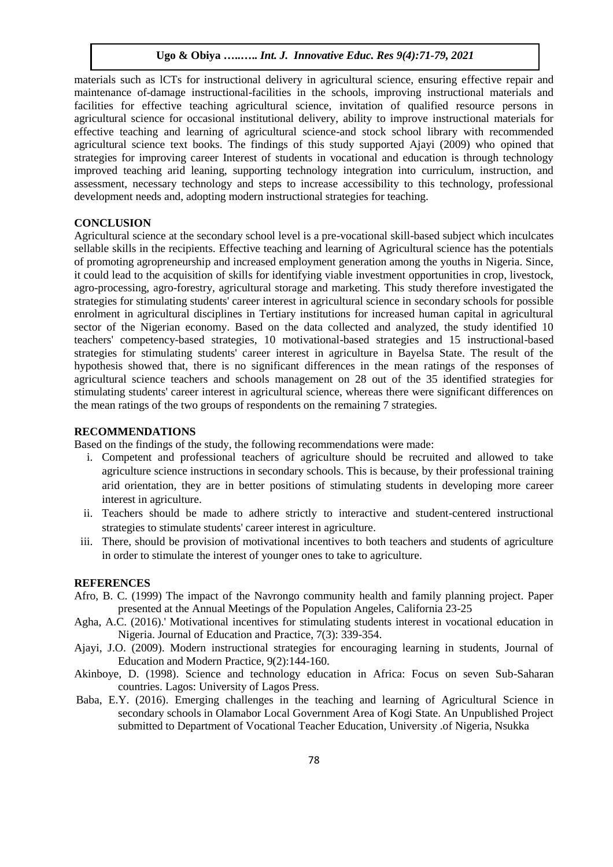materials such as lCTs for instructional delivery in agricultural science, ensuring effective repair and maintenance of-damage instructional-facilities in the schools, improving instructional materials and facilities for effective teaching agricultural science, invitation of qualified resource persons in agricultural science for occasional institutional delivery, ability to improve instructional materials for effective teaching and learning of agricultural science-and stock school library with recommended agricultural science text books. The findings of this study supported Ajayi (2009) who opined that strategies for improving career Interest of students in vocational and education is through technology improved teaching arid leaning, supporting technology integration into curriculum, instruction, and assessment, necessary technology and steps to increase accessibility to this technology, professional development needs and, adopting modern instructional strategies for teaching.

## **CONCLUSION**

Agricultural science at the secondary school level is a pre-vocational skill-based subject which inculcates sellable skills in the recipients. Effective teaching and learning of Agricultural science has the potentials of promoting agropreneurship and increased employment generation among the youths in Nigeria. Since, it could lead to the acquisition of skills for identifying viable investment opportunities in crop, livestock, agro-processing, agro-forestry, agricultural storage and marketing. This study therefore investigated the strategies for stimulating students' career interest in agricultural science in secondary schools for possible enrolment in agricultural disciplines in Tertiary institutions for increased human capital in agricultural sector of the Nigerian economy. Based on the data collected and analyzed, the study identified 10 teachers' competency-based strategies, 10 motivational-based strategies and 15 instructional-based strategies for stimulating students' career interest in agriculture in Bayelsa State. The result of the hypothesis showed that, there is no significant differences in the mean ratings of the responses of agricultural science teachers and schools management on 28 out of the 35 identified strategies for stimulating students' career interest in agricultural science, whereas there were significant differences on the mean ratings of the two groups of respondents on the remaining 7 strategies.

## **RECOMMENDATIONS**

Based on the findings of the study, the following recommendations were made:

- i. Competent and professional teachers of agriculture should be recruited and allowed to take agriculture science instructions in secondary schools. This is because, by their professional training arid orientation, they are in better positions of stimulating students in developing more career interest in agriculture.
- ii. Teachers should be made to adhere strictly to interactive and student-centered instructional strategies to stimulate students' career interest in agriculture.
- iii. There, should be provision of motivational incentives to both teachers and students of agriculture in order to stimulate the interest of younger ones to take to agriculture.

#### **REFERENCES**

- Afro, B. C. (1999) The impact of the Navrongo community health and family planning project. Paper presented at the Annual Meetings of the Population Angeles, California 23-25
- Agha, A.C. (2016).' Motivational incentives for stimulating students interest in vocational education in Nigeria. Journal of Education and Practice, 7(3): 339-354.
- Ajayi, J.O. (2009). Modern instructional strategies for encouraging learning in students, Journal of Education and Modern Practice, 9(2):144-160.
- Akinboye, D. (1998). Science and technology education in Africa: Focus on seven Sub-Saharan countries. Lagos: University of Lagos Press.
- Baba, E.Y. (2016). Emerging challenges in the teaching and learning of Agricultural Science in secondary schools in Olamabor Local Government Area of Kogi State. An Unpublished Project submitted to Department of Vocational Teacher Education, University .of Nigeria, Nsukka